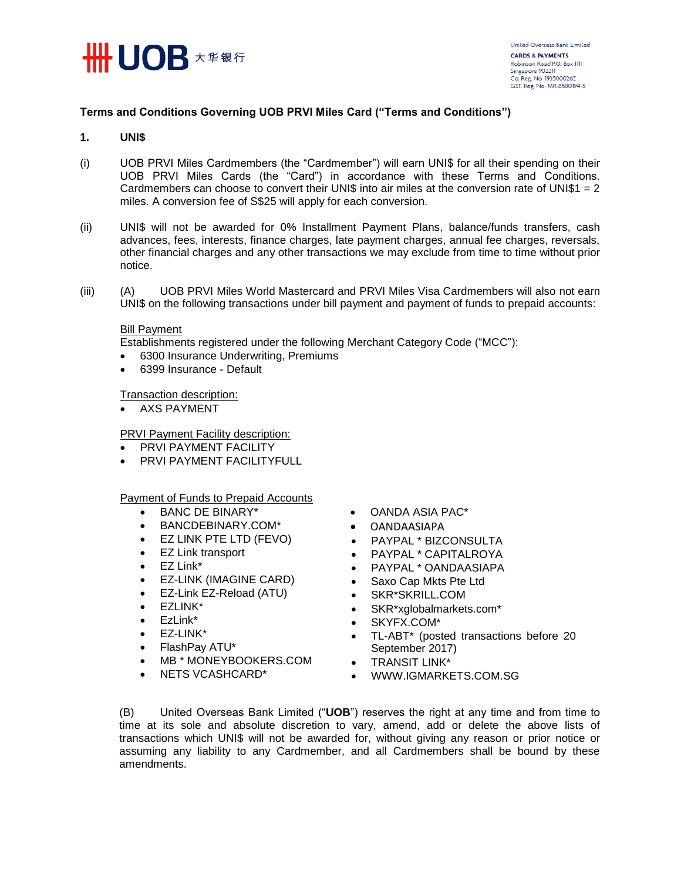

# **Terms and Conditions Governing UOB PRVI Miles Card ("Terms and Conditions")**

# **1. UNI\$**

- (i) UOB PRVI Miles Cardmembers (the "Cardmember") will earn UNI\$ for all their spending on their UOB PRVI Miles Cards (the "Card") in accordance with these Terms and Conditions. Cardmembers can choose to convert their UNI\$ into air miles at the conversion rate of UNI\$1 = 2 miles. A conversion fee of S\$25 will apply for each conversion.
- (ii) UNI\$ will not be awarded for 0% Installment Payment Plans, balance/funds transfers, cash advances, fees, interests, finance charges, late payment charges, annual fee charges, reversals, other financial charges and any other transactions we may exclude from time to time without prior notice.
- (iii) (A) UOB PRVI Miles World Mastercard and PRVI Miles Visa Cardmembers will also not earn UNI\$ on the following transactions under bill payment and payment of funds to prepaid accounts:

# Bill Payment

Establishments registered under the following Merchant Category Code ("MCC"):

- 6300 Insurance Underwriting, Premiums
- 6399 Insurance Default

Transaction description:

• AXS PAYMENT

PRVI Payment Facility description:

- **PRVI PAYMENT FACILITY**
- PRVI PAYMENT FACILITYFULL

Payment of Funds to Prepaid Accounts

- BANC DE BINARY\*
- BANCDEBINARY.COM\*
- EZ LINK PTE LTD (FEVO)
- EZ Link transport
- EZ Link\*
- EZ-LINK (IMAGINE CARD)
- EZ-Link EZ-Reload (ATU)
- EZLINK\*
- EzLink\*
- EZ-LINK\*
- FlashPay ATU\*
- MB \* MONEYBOOKERS.COM
- NETS VCASHCARD\*
- OANDA ASIA PAC\*
- OANDAASIAPA
- PAYPAL \* BIZCONSULTA
- PAYPAL \* CAPITALROYA
- PAYPAL \* OANDAASIAPA
- Saxo Cap Mkts Pte Ltd
- SKR\*SKRILL.COM
- SKR\*xglobalmarkets.com\*
- SKYFX.COM\*
- TL-ABT\* (posted transactions before 20 September 2017)
- **•** TRANSIT LINK\*
- WWW.IGMARKETS.COM.SG

(B) United Overseas Bank Limited ("**UOB**") reserves the right at any time and from time to time at its sole and absolute discretion to vary, amend, add or delete the above lists of transactions which UNI\$ will not be awarded for, without giving any reason or prior notice or assuming any liability to any Cardmember, and all Cardmembers shall be bound by these amendments.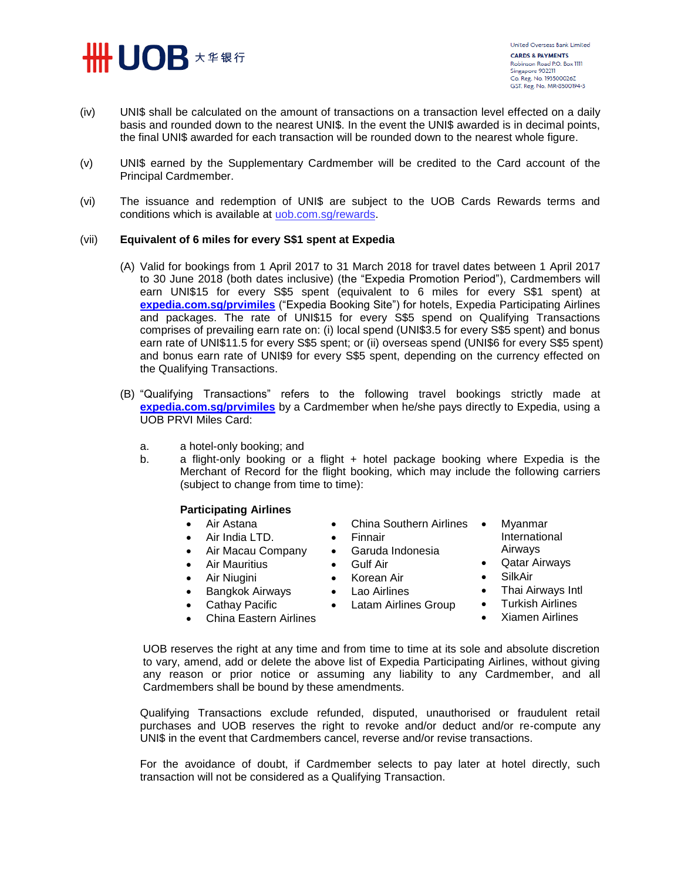

- (iv) UNI\$ shall be calculated on the amount of transactions on a transaction level effected on a daily basis and rounded down to the nearest UNI\$. In the event the UNI\$ awarded is in decimal points, the final UNI\$ awarded for each transaction will be rounded down to the nearest whole figure.
- (v) UNI\$ earned by the Supplementary Cardmember will be credited to the Card account of the Principal Cardmember.
- (vi) The issuance and redemption of UNI\$ are subject to the UOB Cards Rewards terms and conditions which is available at [uob.com.sg/rewards.](https://uniservices.uobgroup.com/NASApp/RUS/jsp/login.jsp)

# (vii) **Equivalent of 6 miles for every S\$1 spent at Expedia**

- (A) Valid for bookings from 1 April 2017 to 31 March 2018 for travel dates between 1 April 2017 to 30 June 2018 (both dates inclusive) (the "Expedia Promotion Period"), Cardmembers will earn UNI\$15 for every S\$5 spent (equivalent to 6 miles for every S\$1 spent) at **[expedia.com.sg/prvimiles](https://uniservices1.uobgroup.com/secure/forms/url_redirection.jsp?CC=SG&URL=https://www.expedia.com.sg/prvimiles)** ("Expedia Booking Site") for hotels, Expedia Participating Airlines and packages. The rate of UNI\$15 for every S\$5 spend on Qualifying Transactions comprises of prevailing earn rate on: (i) local spend (UNI\$3.5 for every S\$5 spent) and bonus earn rate of UNI\$11.5 for every S\$5 spent; or (ii) overseas spend (UNI\$6 for every S\$5 spent) and bonus earn rate of UNI\$9 for every S\$5 spent, depending on the currency effected on the Qualifying Transactions.
- (B) "Qualifying Transactions" refers to the following travel bookings strictly made at **[expedia.com.sg/prvimiles](https://uniservices1.uobgroup.com/secure/forms/url_redirection.jsp?CC=SG&URL=https://www.expedia.com.sg/prvimiles)** by a Cardmember when he/she pays directly to Expedia, using a UOB PRVI Miles Card:
	- a. a hotel-only booking; and
	- b. a flight-only booking or a flight + hotel package booking where Expedia is the Merchant of Record for the flight booking, which may include the following carriers (subject to change from time to time):

# **Participating Airlines**

- Air Astana
- Air India LTD.
- Air Macau Company
- Air Mauritius
- Air Niugini
- Bangkok Airways
- Cathay Pacific
- China Eastern Airlines
- China Southern Airlines •
- Finnair
- Garuda Indonesia
- Gulf Air
- Korean Air
- Lao Airlines
	- Latam Airlines Group
- 

 Myanmar International Airways Qatar Airways

UOB reserves the right at any time and from time to time at its sole and absolute discretion to vary, amend, add or delete the above list of Expedia Participating Airlines, without giving any reason or prior notice or assuming any liability to any Cardmember, and all Cardmembers shall be bound by these amendments.

Qualifying Transactions exclude refunded, disputed, unauthorised or fraudulent retail purchases and UOB reserves the right to revoke and/or deduct and/or re-compute any UNI\$ in the event that Cardmembers cancel, reverse and/or revise transactions.

For the avoidance of doubt, if Cardmember selects to pay later at hotel directly, such transaction will not be considered as a Qualifying Transaction.

- 
- 
- - Thai Airways Intl **•** Turkish Airlines

SilkAir

- Xiamen Airlines
-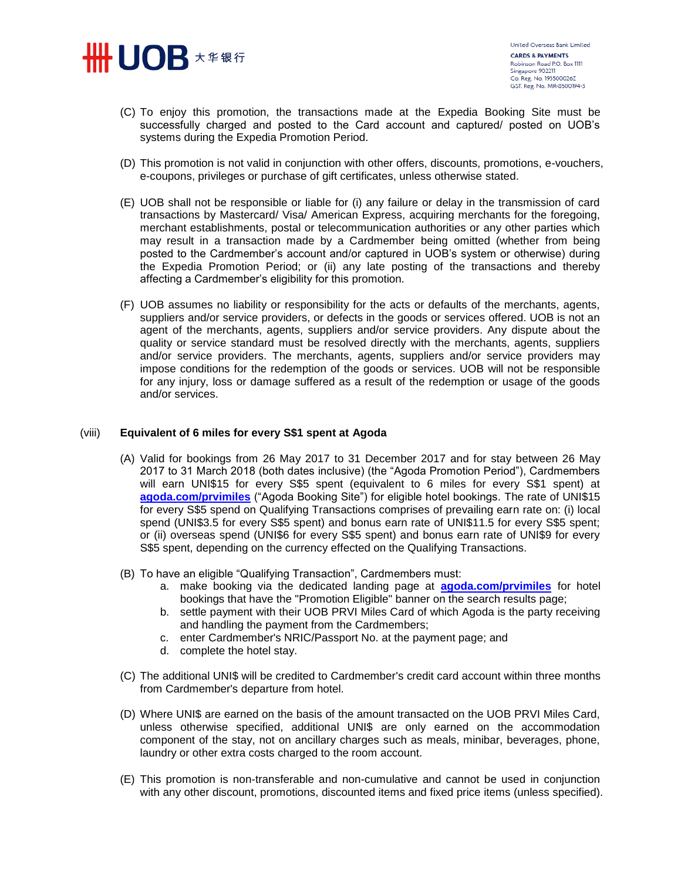

- (C) To enjoy this promotion, the transactions made at the Expedia Booking Site must be successfully charged and posted to the Card account and captured/ posted on UOB's systems during the Expedia Promotion Period.
- (D) This promotion is not valid in conjunction with other offers, discounts, promotions, e-vouchers, e-coupons, privileges or purchase of gift certificates, unless otherwise stated.
- (E) UOB shall not be responsible or liable for (i) any failure or delay in the transmission of card transactions by Mastercard/ Visa/ American Express, acquiring merchants for the foregoing, merchant establishments, postal or telecommunication authorities or any other parties which may result in a transaction made by a Cardmember being omitted (whether from being posted to the Cardmember's account and/or captured in UOB's system or otherwise) during the Expedia Promotion Period; or (ii) any late posting of the transactions and thereby affecting a Cardmember's eligibility for this promotion.
- (F) UOB assumes no liability or responsibility for the acts or defaults of the merchants, agents, suppliers and/or service providers, or defects in the goods or services offered. UOB is not an agent of the merchants, agents, suppliers and/or service providers. Any dispute about the quality or service standard must be resolved directly with the merchants, agents, suppliers and/or service providers. The merchants, agents, suppliers and/or service providers may impose conditions for the redemption of the goods or services. UOB will not be responsible for any injury, loss or damage suffered as a result of the redemption or usage of the goods and/or services.

#### (viii) **Equivalent of 6 miles for every S\$1 spent at Agoda**

- (A) Valid for bookings from 26 May 2017 to 31 December 2017 and for stay between 26 May 2017 to 31 March 2018 (both dates inclusive) (the "Agoda Promotion Period"), Cardmembers will earn UNI\$15 for every S\$5 spent (equivalent to 6 miles for every S\$1 spent) at **[agoda.com/prvimiles](https://uniservices1.uobgroup.com/secure/forms/url_redirection.jsp?CC=SG&URL=http://www.agoda.com/prvimiles)** ("Agoda Booking Site") for eligible hotel bookings. The rate of UNI\$15 for every S\$5 spend on Qualifying Transactions comprises of prevailing earn rate on: (i) local spend (UNI\$3.5 for every S\$5 spent) and bonus earn rate of UNI\$11.5 for every S\$5 spent; or (ii) overseas spend (UNI\$6 for every S\$5 spent) and bonus earn rate of UNI\$9 for every S\$5 spent, depending on the currency effected on the Qualifying Transactions.
- (B) To have an eligible "Qualifying Transaction", Cardmembers must:
	- a. make booking via the dedicated landing page at **[agoda.com/prvimiles](https://uniservices1.uobgroup.com/secure/forms/url_redirection.jsp?CC=SG&URL=http://www.agoda.com/prvimiles)** for hotel bookings that have the "Promotion Eligible" banner on the search results page;
	- b. settle payment with their UOB PRVI Miles Card of which Agoda is the party receiving and handling the payment from the Cardmembers;
	- c. enter Cardmember's NRIC/Passport No. at the payment page; and
	- d. complete the hotel stay.
- (C) The additional UNI\$ will be credited to Cardmember's credit card account within three months from Cardmember's departure from hotel.
- (D) Where UNI\$ are earned on the basis of the amount transacted on the UOB PRVI Miles Card, unless otherwise specified, additional UNI\$ are only earned on the accommodation component of the stay, not on ancillary charges such as meals, minibar, beverages, phone, laundry or other extra costs charged to the room account.
- (E) This promotion is non-transferable and non-cumulative and cannot be used in conjunction with any other discount, promotions, discounted items and fixed price items (unless specified).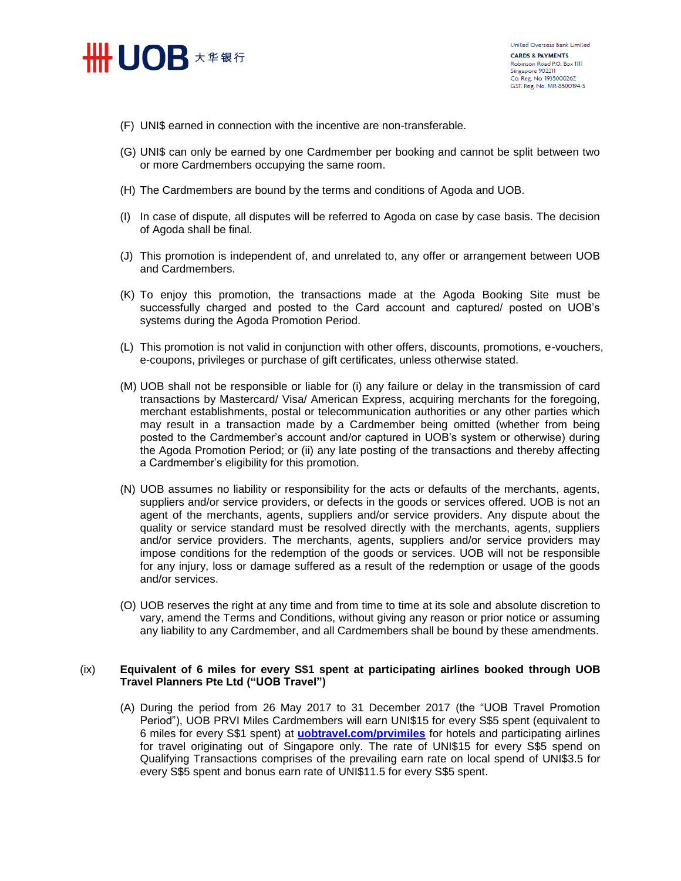

- (F) UNI\$ earned in connection with the incentive are non-transferable.
- (G) UNI\$ can only be earned by one Cardmember per booking and cannot be split between two or more Cardmembers occupying the same room.
- (H) The Cardmembers are bound by the terms and conditions of Agoda and UOB.
- (I) In case of dispute, all disputes will be referred to Agoda on case by case basis. The decision of Agoda shall be final.
- (J) This promotion is independent of, and unrelated to, any offer or arrangement between UOB and Cardmembers.
- (K) To enjoy this promotion, the transactions made at the Agoda Booking Site must be successfully charged and posted to the Card account and captured/ posted on UOB's systems during the Agoda Promotion Period.
- (L) This promotion is not valid in conjunction with other offers, discounts, promotions, e-vouchers, e-coupons, privileges or purchase of gift certificates, unless otherwise stated.
- (M) UOB shall not be responsible or liable for (i) any failure or delay in the transmission of card transactions by Mastercard/ Visa/ American Express, acquiring merchants for the foregoing, merchant establishments, postal or telecommunication authorities or any other parties which may result in a transaction made by a Cardmember being omitted (whether from being posted to the Cardmember's account and/or captured in UOB's system or otherwise) during the Agoda Promotion Period; or (ii) any late posting of the transactions and thereby affecting a Cardmember's eligibility for this promotion.
- (N) UOB assumes no liability or responsibility for the acts or defaults of the merchants, agents, suppliers and/or service providers, or defects in the goods or services offered. UOB is not an agent of the merchants, agents, suppliers and/or service providers. Any dispute about the quality or service standard must be resolved directly with the merchants, agents, suppliers and/or service providers. The merchants, agents, suppliers and/or service providers may impose conditions for the redemption of the goods or services. UOB will not be responsible for any injury, loss or damage suffered as a result of the redemption or usage of the goods and/or services.
- (O) UOB reserves the right at any time and from time to time at its sole and absolute discretion to vary, amend the Terms and Conditions, without giving any reason or prior notice or assuming any liability to any Cardmember, and all Cardmembers shall be bound by these amendments.

# (ix) **Equivalent of 6 miles for every S\$1 spent at participating airlines booked through UOB Travel Planners Pte Ltd ("UOB Travel")**

(A) During the period from 26 May 2017 to 31 December 2017 (the "UOB Travel Promotion Period"), UOB PRVI Miles Cardmembers will earn UNI\$15 for every S\$5 spent (equivalent to 6 miles for every S\$1 spent) at **[uobtravel.com/prvimiles](http://uobtravel.com/prvimiles)** for hotels and participating airlines for travel originating out of Singapore only. The rate of UNI\$15 for every S\$5 spend on Qualifying Transactions comprises of the prevailing earn rate on local spend of UNI\$3.5 for every S\$5 spent and bonus earn rate of UNI\$11.5 for every S\$5 spent.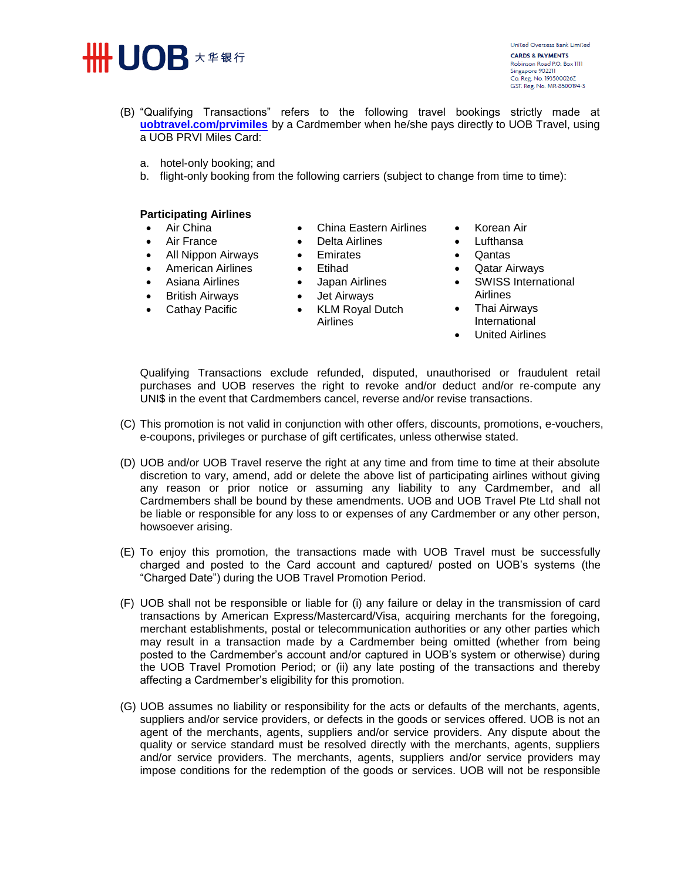

United Overseas Bank Limited **CARDS & PAYMENTS** Robinson Road P.O. Box 1111 Singapore 902211 Co. Reg. No. 193500026Z GST, Reg. No. MR-8500194-3

- (B) "Qualifying Transactions" refers to the following travel bookings strictly made at **[uobtravel.com/prvimiles](http://uobtravel.com/prvimiles)** by a Cardmember when he/she pays directly to UOB Travel, using a UOB PRVI Miles Card:
	- a. hotel-only booking; and
	- b. flight-only booking from the following carriers (subject to change from time to time):

# **Participating Airlines**

- Air China
- Air France
- All Nippon Airways
- **•** American Airlines
- Asiana Airlines
- British Airways
- Cathay Pacific
- China Eastern Airlines
- Delta Airlines
- **•** Emirates
- Etihad
- Japan Airlines
	- Jet Airways
	- KLM Royal Dutch Airlines
- Korean Air
- Lufthansa
- Qantas
- Qatar Airways
- SWISS International Airlines
	- Thai Airways International
	- United Airlines

Qualifying Transactions exclude refunded, disputed, unauthorised or fraudulent retail purchases and UOB reserves the right to revoke and/or deduct and/or re-compute any UNI\$ in the event that Cardmembers cancel, reverse and/or revise transactions.

- (C) This promotion is not valid in conjunction with other offers, discounts, promotions, e-vouchers, e-coupons, privileges or purchase of gift certificates, unless otherwise stated.
- (D) UOB and/or UOB Travel reserve the right at any time and from time to time at their absolute discretion to vary, amend, add or delete the above list of participating airlines without giving any reason or prior notice or assuming any liability to any Cardmember, and all Cardmembers shall be bound by these amendments. UOB and UOB Travel Pte Ltd shall not be liable or responsible for any loss to or expenses of any Cardmember or any other person, howsoever arising.
- (E) To enjoy this promotion, the transactions made with UOB Travel must be successfully charged and posted to the Card account and captured/ posted on UOB's systems (the "Charged Date") during the UOB Travel Promotion Period.
- (F) UOB shall not be responsible or liable for (i) any failure or delay in the transmission of card transactions by American Express/Mastercard/Visa, acquiring merchants for the foregoing, merchant establishments, postal or telecommunication authorities or any other parties which may result in a transaction made by a Cardmember being omitted (whether from being posted to the Cardmember's account and/or captured in UOB's system or otherwise) during the UOB Travel Promotion Period; or (ii) any late posting of the transactions and thereby affecting a Cardmember's eligibility for this promotion.
- (G) UOB assumes no liability or responsibility for the acts or defaults of the merchants, agents, suppliers and/or service providers, or defects in the goods or services offered. UOB is not an agent of the merchants, agents, suppliers and/or service providers. Any dispute about the quality or service standard must be resolved directly with the merchants, agents, suppliers and/or service providers. The merchants, agents, suppliers and/or service providers may impose conditions for the redemption of the goods or services. UOB will not be responsible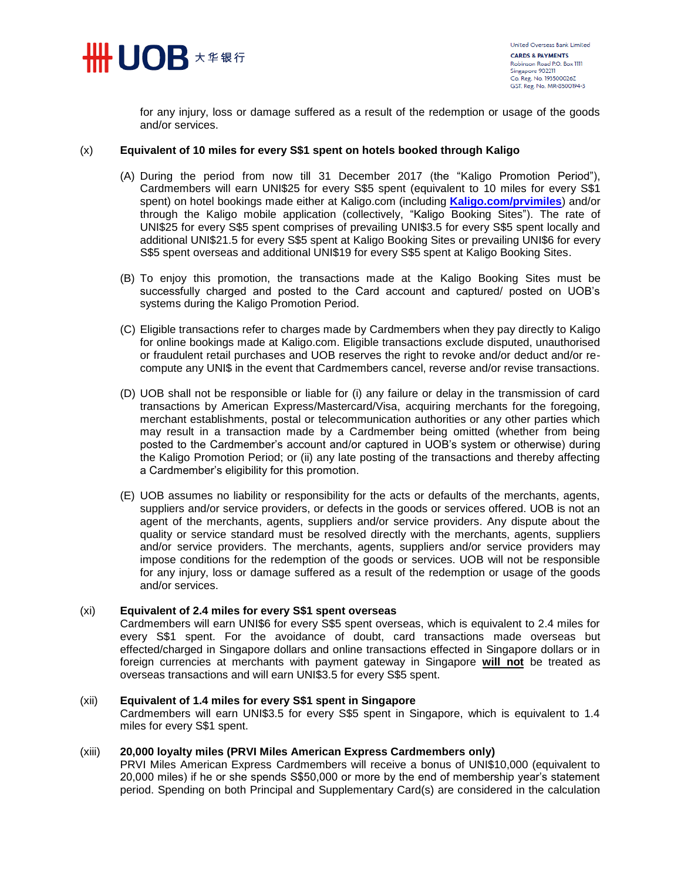

for any injury, loss or damage suffered as a result of the redemption or usage of the goods and/or services.

# (x) **Equivalent of 10 miles for every S\$1 spent on hotels booked through Kaligo**

- (A) During the period from now till 31 December 2017 (the "Kaligo Promotion Period"), Cardmembers will earn UNI\$25 for every S\$5 spent (equivalent to 10 miles for every S\$1 spent) on hotel bookings made either at Kaligo.com (including **[Kaligo.com/prvimiles](https://uniservices1.uobgroup.com/secure/forms/url_redirection.jsp?CC=SG&URL=https://kaligo.com/prvimiles)**) and/or through the Kaligo mobile application (collectively, "Kaligo Booking Sites"). The rate of UNI\$25 for every S\$5 spent comprises of prevailing UNI\$3.5 for every S\$5 spent locally and additional UNI\$21.5 for every S\$5 spent at Kaligo Booking Sites or prevailing UNI\$6 for every S\$5 spent overseas and additional UNI\$19 for every S\$5 spent at Kaligo Booking Sites.
- (B) To enjoy this promotion, the transactions made at the Kaligo Booking Sites must be successfully charged and posted to the Card account and captured/ posted on UOB's systems during the Kaligo Promotion Period.
- (C) Eligible transactions refer to charges made by Cardmembers when they pay directly to Kaligo for online bookings made at Kaligo.com. Eligible transactions exclude disputed, unauthorised or fraudulent retail purchases and UOB reserves the right to revoke and/or deduct and/or recompute any UNI\$ in the event that Cardmembers cancel, reverse and/or revise transactions.
- (D) UOB shall not be responsible or liable for (i) any failure or delay in the transmission of card transactions by American Express/Mastercard/Visa, acquiring merchants for the foregoing, merchant establishments, postal or telecommunication authorities or any other parties which may result in a transaction made by a Cardmember being omitted (whether from being posted to the Cardmember's account and/or captured in UOB's system or otherwise) during the Kaligo Promotion Period; or (ii) any late posting of the transactions and thereby affecting a Cardmember's eligibility for this promotion.
- (E) UOB assumes no liability or responsibility for the acts or defaults of the merchants, agents, suppliers and/or service providers, or defects in the goods or services offered. UOB is not an agent of the merchants, agents, suppliers and/or service providers. Any dispute about the quality or service standard must be resolved directly with the merchants, agents, suppliers and/or service providers. The merchants, agents, suppliers and/or service providers may impose conditions for the redemption of the goods or services. UOB will not be responsible for any injury, loss or damage suffered as a result of the redemption or usage of the goods and/or services.

# (xi) **Equivalent of 2.4 miles for every S\$1 spent overseas**

Cardmembers will earn UNI\$6 for every S\$5 spent overseas, which is equivalent to 2.4 miles for every S\$1 spent. For the avoidance of doubt, card transactions made overseas but effected/charged in Singapore dollars and online transactions effected in Singapore dollars or in foreign currencies at merchants with payment gateway in Singapore **will not** be treated as overseas transactions and will earn UNI\$3.5 for every S\$5 spent.

# (xii) **Equivalent of 1.4 miles for every S\$1 spent in Singapore**

Cardmembers will earn UNI\$3.5 for every S\$5 spent in Singapore, which is equivalent to 1.4 miles for every S\$1 spent.

#### (xiii) **20,000 loyalty miles (PRVI Miles American Express Cardmembers only)**

PRVI Miles American Express Cardmembers will receive a bonus of UNI\$10,000 (equivalent to 20,000 miles) if he or she spends S\$50,000 or more by the end of membership year's statement period. Spending on both Principal and Supplementary Card(s) are considered in the calculation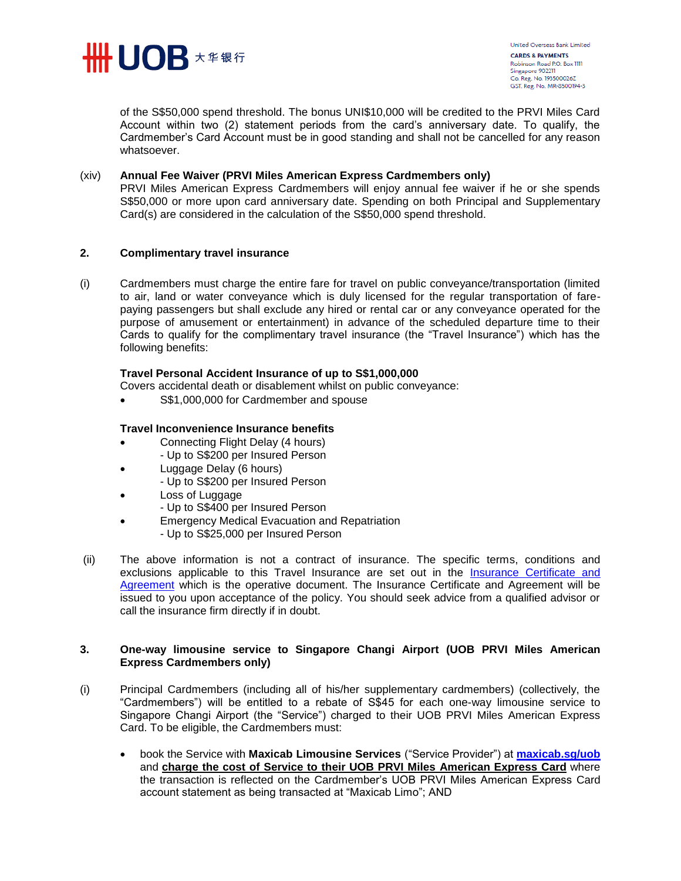

of the S\$50,000 spend threshold. The bonus UNI\$10,000 will be credited to the PRVI Miles Card Account within two (2) statement periods from the card's anniversary date. To qualify, the Cardmember's Card Account must be in good standing and shall not be cancelled for any reason whatsoever.

# (xiv) **Annual Fee Waiver (PRVI Miles American Express Cardmembers only)**

PRVI Miles American Express Cardmembers will enjoy annual fee waiver if he or she spends S\$50,000 or more upon card anniversary date. Spending on both Principal and Supplementary Card(s) are considered in the calculation of the S\$50,000 spend threshold.

# **2. Complimentary travel insurance**

(i) Cardmembers must charge the entire fare for travel on public conveyance/transportation (limited to air, land or water conveyance which is duly licensed for the regular transportation of farepaying passengers but shall exclude any hired or rental car or any conveyance operated for the purpose of amusement or entertainment) in advance of the scheduled departure time to their Cards to qualify for the complimentary travel insurance (the "Travel Insurance") which has the following benefits:

# **Travel Personal Accident Insurance of up to S\$1,000,000**

Covers accidental death or disablement whilst on public conveyance:

S\$1,000,000 for Cardmember and spouse

# **Travel Inconvenience Insurance benefits**

- Connecting Flight Delay (4 hours) - Up to S\$200 per Insured Person
- Luggage Delay (6 hours)
	- Up to S\$200 per Insured Person
- Loss of Luggage
	- Up to S\$400 per Insured Person
- Emergency Medical Evacuation and Repatriation
	- Up to S\$25,000 per Insured Person
- (ii) The above information is not a contract of insurance. The specific terms, conditions and exclusions applicable to this Travel Insurance are set out in the Insurance Certificate and [Agreement](http://www.uob.com.sg/personal/cards/credit/uob_prvi_miles_card/microsite/assets/pdfs/coi-prvimiles-cards.pdf) which is the operative document. The Insurance Certificate and Agreement will be issued to you upon acceptance of the policy. You should seek advice from a qualified advisor or call the insurance firm directly if in doubt.

# **3. One-way limousine service to Singapore Changi Airport (UOB PRVI Miles American Express Cardmembers only)**

- (i) Principal Cardmembers (including all of his/her supplementary cardmembers) (collectively, the "Cardmembers") will be entitled to a rebate of S\$45 for each one-way limousine service to Singapore Changi Airport (the "Service") charged to their UOB PRVI Miles American Express Card. To be eligible, the Cardmembers must:
	- book the Service with **Maxicab Limousine Services** ("Service Provider") at **[maxicab.sg/uob](https://uniservices1.uobgroup.com/secure/forms/url_redirection.jsp?CC=SG&URL=http://maxicab.sg/uob/)** and **charge the cost of Service to their UOB PRVI Miles American Express Card** where the transaction is reflected on the Cardmember's UOB PRVI Miles American Express Card account statement as being transacted at "Maxicab Limo"; AND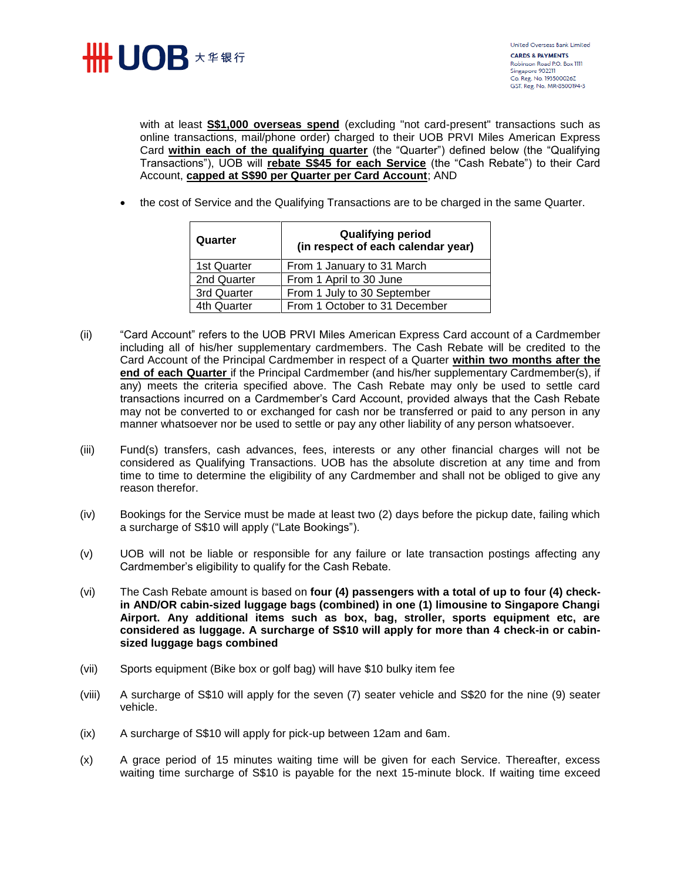

with at least **S\$1,000 overseas spend** (excluding "not card-present" transactions such as online transactions, mail/phone order) charged to their UOB PRVI Miles American Express Card **within each of the qualifying quarter** (the "Quarter") defined below (the "Qualifying Transactions"), UOB will **rebate S\$45 for each Service** (the "Cash Rebate") to their Card Account, **capped at S\$90 per Quarter per Card Account**; AND

• the cost of Service and the Qualifying Transactions are to be charged in the same Quarter.

| Quarter     | <b>Qualifying period</b><br>(in respect of each calendar year) |  |
|-------------|----------------------------------------------------------------|--|
| 1st Quarter | From 1 January to 31 March                                     |  |
| 2nd Quarter | From 1 April to 30 June                                        |  |
| 3rd Quarter | From 1 July to 30 September                                    |  |
| 4th Quarter | From 1 October to 31 December                                  |  |

- (ii) "Card Account" refers to the UOB PRVI Miles American Express Card account of a Cardmember including all of his/her supplementary cardmembers. The Cash Rebate will be credited to the Card Account of the Principal Cardmember in respect of a Quarter **within two months after the end of each Quarter** if the Principal Cardmember (and his/her supplementary Cardmember(s), if any) meets the criteria specified above. The Cash Rebate may only be used to settle card transactions incurred on a Cardmember's Card Account, provided always that the Cash Rebate may not be converted to or exchanged for cash nor be transferred or paid to any person in any manner whatsoever nor be used to settle or pay any other liability of any person whatsoever.
- (iii) Fund(s) transfers, cash advances, fees, interests or any other financial charges will not be considered as Qualifying Transactions. UOB has the absolute discretion at any time and from time to time to determine the eligibility of any Cardmember and shall not be obliged to give any reason therefor.
- (iv) Bookings for the Service must be made at least two (2) days before the pickup date, failing which a surcharge of S\$10 will apply ("Late Bookings").
- (v) UOB will not be liable or responsible for any failure or late transaction postings affecting any Cardmember's eligibility to qualify for the Cash Rebate.
- (vi) The Cash Rebate amount is based on **four (4) passengers with a total of up to four (4) checkin AND/OR cabin-sized luggage bags (combined) in one (1) limousine to Singapore Changi Airport. Any additional items such as box, bag, stroller, sports equipment etc, are considered as luggage. A surcharge of S\$10 will apply for more than 4 check-in or cabinsized luggage bags combined**
- (vii) Sports equipment (Bike box or golf bag) will have \$10 bulky item fee
- (viii) A surcharge of S\$10 will apply for the seven (7) seater vehicle and S\$20 for the nine (9) seater vehicle.
- (ix) A surcharge of S\$10 will apply for pick-up between 12am and 6am.
- (x) A grace period of 15 minutes waiting time will be given for each Service. Thereafter, excess waiting time surcharge of S\$10 is payable for the next 15-minute block. If waiting time exceed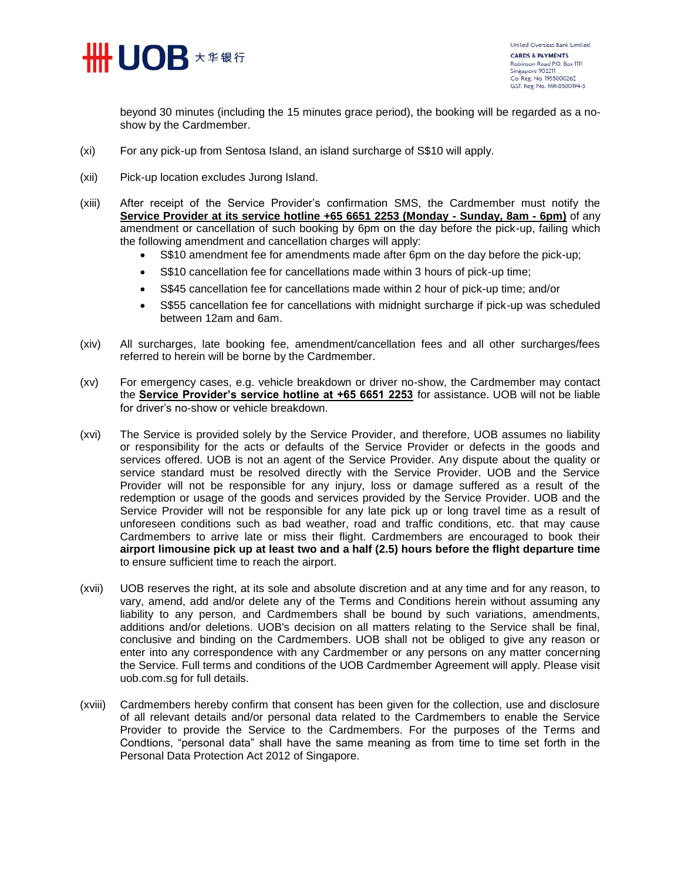

beyond 30 minutes (including the 15 minutes grace period), the booking will be regarded as a noshow by the Cardmember.

- (xi) For any pick-up from Sentosa Island, an island surcharge of S\$10 will apply.
- (xii) Pick-up location excludes Jurong Island.
- (xiii) After receipt of the Service Provider's confirmation SMS, the Cardmember must notify the **Service Provider at its service hotline +65 6651 2253 (Monday - Sunday, 8am - 6pm)** of any amendment or cancellation of such booking by 6pm on the day before the pick-up, failing which the following amendment and cancellation charges will apply:
	- S\$10 amendment fee for amendments made after 6pm on the day before the pick-up;
	- S\$10 cancellation fee for cancellations made within 3 hours of pick-up time;
	- S\$45 cancellation fee for cancellations made within 2 hour of pick-up time; and/or
	- S\$55 cancellation fee for cancellations with midnight surcharge if pick-up was scheduled between 12am and 6am.
- (xiv) All surcharges, late booking fee, amendment/cancellation fees and all other surcharges/fees referred to herein will be borne by the Cardmember.
- (xv) For emergency cases, e.g. vehicle breakdown or driver no-show, the Cardmember may contact the **Service Provider's service hotline at +65 6651 2253** for assistance. UOB will not be liable for driver's no-show or vehicle breakdown.
- (xvi) The Service is provided solely by the Service Provider, and therefore, UOB assumes no liability or responsibility for the acts or defaults of the Service Provider or defects in the goods and services offered. UOB is not an agent of the Service Provider. Any dispute about the quality or service standard must be resolved directly with the Service Provider. UOB and the Service Provider will not be responsible for any injury, loss or damage suffered as a result of the redemption or usage of the goods and services provided by the Service Provider. UOB and the Service Provider will not be responsible for any late pick up or long travel time as a result of unforeseen conditions such as bad weather, road and traffic conditions, etc. that may cause Cardmembers to arrive late or miss their flight. Cardmembers are encouraged to book their **airport limousine pick up at least two and a half (2.5) hours before the flight departure time** to ensure sufficient time to reach the airport.
- (xvii) UOB reserves the right, at its sole and absolute discretion and at any time and for any reason, to vary, amend, add and/or delete any of the Terms and Conditions herein without assuming any liability to any person, and Cardmembers shall be bound by such variations, amendments, additions and/or deletions. UOB's decision on all matters relating to the Service shall be final, conclusive and binding on the Cardmembers. UOB shall not be obliged to give any reason or enter into any correspondence with any Cardmember or any persons on any matter concerning the Service. Full terms and conditions of the UOB Cardmember Agreement will apply. Please visit uob.com.sg for full details.
- (xviii) Cardmembers hereby confirm that consent has been given for the collection, use and disclosure of all relevant details and/or personal data related to the Cardmembers to enable the Service Provider to provide the Service to the Cardmembers. For the purposes of the Terms and Condtions, "personal data" shall have the same meaning as from time to time set forth in the Personal Data Protection Act 2012 of Singapore.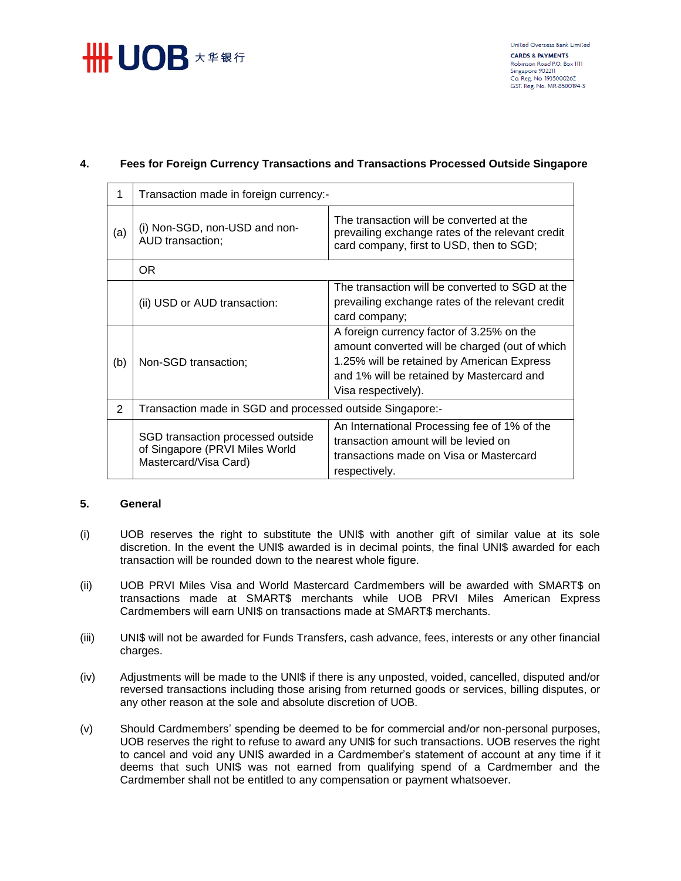# **##UOB** ★ # 银行

# **4. Fees for Foreign Currency Transactions and Transactions Processed Outside Singapore**

| 1   | Transaction made in foreign currency:-                                                       |                                                                                                                                                                                                               |  |
|-----|----------------------------------------------------------------------------------------------|---------------------------------------------------------------------------------------------------------------------------------------------------------------------------------------------------------------|--|
| (a) | (i) Non-SGD, non-USD and non-<br>AUD transaction;                                            | The transaction will be converted at the<br>prevailing exchange rates of the relevant credit<br>card company, first to USD, then to SGD;                                                                      |  |
|     | <b>OR</b>                                                                                    |                                                                                                                                                                                                               |  |
|     | (ii) USD or AUD transaction:                                                                 | The transaction will be converted to SGD at the<br>prevailing exchange rates of the relevant credit<br>card company;                                                                                          |  |
| (b) | Non-SGD transaction;                                                                         | A foreign currency factor of 3.25% on the<br>amount converted will be charged (out of which<br>1.25% will be retained by American Express<br>and 1% will be retained by Mastercard and<br>Visa respectively). |  |
| 2   | Transaction made in SGD and processed outside Singapore:-                                    |                                                                                                                                                                                                               |  |
|     | SGD transaction processed outside<br>of Singapore (PRVI Miles World<br>Mastercard/Visa Card) | An International Processing fee of 1% of the<br>transaction amount will be levied on<br>transactions made on Visa or Mastercard<br>respectively.                                                              |  |

# **5. General**

- (i) UOB reserves the right to substitute the UNI\$ with another gift of similar value at its sole discretion. In the event the UNI\$ awarded is in decimal points, the final UNI\$ awarded for each transaction will be rounded down to the nearest whole figure.
- (ii) UOB PRVI Miles Visa and World Mastercard Cardmembers will be awarded with SMART\$ on transactions made at SMART\$ merchants while UOB PRVI Miles American Express Cardmembers will earn UNI\$ on transactions made at SMART\$ merchants.
- (iii) UNI\$ will not be awarded for Funds Transfers, cash advance, fees, interests or any other financial charges.
- (iv) Adjustments will be made to the UNI\$ if there is any unposted, voided, cancelled, disputed and/or reversed transactions including those arising from returned goods or services, billing disputes, or any other reason at the sole and absolute discretion of UOB.
- (v) Should Cardmembers' spending be deemed to be for commercial and/or non-personal purposes, UOB reserves the right to refuse to award any UNI\$ for such transactions. UOB reserves the right to cancel and void any UNI\$ awarded in a Cardmember's statement of account at any time if it deems that such UNI\$ was not earned from qualifying spend of a Cardmember and the Cardmember shall not be entitled to any compensation or payment whatsoever.